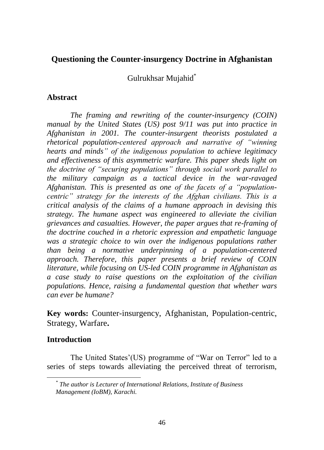# **Questioning the Counter-insurgency Doctrine in Afghanistan**

Gulrukhsar Mujahid\*

# **Abstract**

*The framing and rewriting of the counter-insurgency (COIN) manual by the United States (US) post 9/11 was put into practice in Afghanistan in 2001. The counter-insurgent theorists postulated a rhetorical population-centered approach and narrative of "winning hearts and minds" of the indigenous population to achieve legitimacy and effectiveness of this asymmetric warfare. This paper sheds light on the doctrine of "securing populations" through social work parallel to the military campaign as a tactical device in the war-ravaged Afghanistan. This is presented as one of the facets of a "populationcentric" strategy for the interests of the Afghan civilians. This is a critical analysis of the claims of a humane approach in devising this strategy. The humane aspect was engineered to alleviate the civilian grievances and casualties. However, the paper argues that re-framing of the doctrine couched in a rhetoric expression and empathetic language was a strategic choice to win over the indigenous populations rather than being a normative underpinning of a population-centered approach. Therefore, this paper presents a brief review of COIN literature, while focusing on US-led COIN programme in Afghanistan as a case study to raise questions on the exploitation of the civilian populations. Hence, raising a fundamental question that whether wars can ever be humane?* 

**Key words:** Counter-insurgency, Afghanistan, Population-centric, Strategy, Warfare**.**

# **Introduction**

The United States'(US) programme of "War on Terror" led to a series of steps towards alleviating the perceived threat of terrorism,

*<sup>\*</sup> The author is Lecturer of International Relations, Institute of Business Management (IoBM), Karachi.*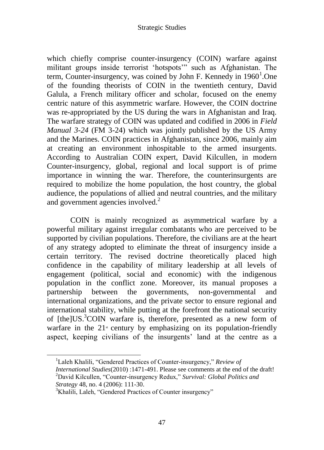which chiefly comprise counter-insurgency (COIN) warfare against militant groups inside terrorist "hotspots"" such as Afghanistan. The term, Counter-insurgency, was coined by John F. Kennedy in  $1960<sup>1</sup>$ . One of the founding theorists of COIN in the twentieth century, David Galula, a French military officer and scholar, focused on the enemy centric nature of this asymmetric warfare. However, the COIN doctrine was re-appropriated by the US during the wars in Afghanistan and Iraq. The warfare strategy of COIN was updated and codified in 2006 in *Field Manual 3-24* (FM 3-24) which was jointly published by the US Army and the Marines. COIN practices in Afghanistan, since 2006, mainly aim at creating an environment inhospitable to the armed insurgents. According to Australian COIN expert, David Kilcullen, in modern Counter-insurgency, global, regional and local support is of prime importance in winning the war. Therefore, the counterinsurgents are required to mobilize the home population, the host country, the global audience, the populations of allied and neutral countries, and the military and government agencies involved.<sup>2</sup>

COIN is mainly recognized as asymmetrical warfare by a powerful military against irregular combatants who are perceived to be supported by civilian populations. Therefore, the civilians are at the heart of any strategy adopted to eliminate the threat of insurgency inside a certain territory. The revised doctrine theoretically placed high confidence in the capability of military leadership at all levels of engagement (political, social and economic) with the indigenous population in the conflict zone. Moreover, its manual proposes a partnership between the governments, non-governmental and international organizations, and the private sector to ensure regional and international stability, while putting at the forefront the national security of [the]US.<sup>3</sup>COIN warfare is, therefore, presented as a new form of warfare in the  $21<sup>*</sup>$  century by emphasizing on its population-friendly aspect, keeping civilians of the insurgents' land at the centre as a

<sup>1</sup>Laleh Khalili, "Gendered Practices of Counter-insurgency," *Review of International Studies*(2010) :1471-491. Please see comments at the end of the draft! <sup>2</sup>David Kilcullen, "Counter-insurgency Redux," *Survival: Global Politics and Strategy* 48, no. 4 (2006): 111-30.

<sup>&</sup>lt;sup>3</sup>Khalili, Laleh, "Gendered Practices of Counter insurgency"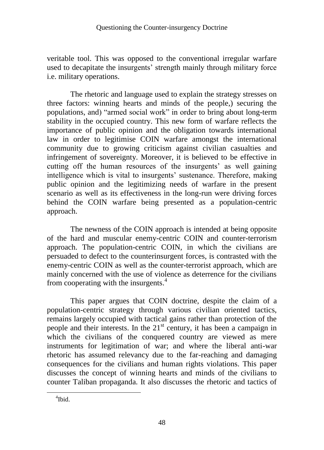veritable tool. This was opposed to the conventional irregular warfare used to decapitate the insurgents' strength mainly through military force i.e. military operations.

The rhetoric and language used to explain the strategy stresses on three factors: winning hearts and minds of the people,) securing the populations, and) "armed social work" in order to bring about long-term stability in the occupied country. This new form of warfare reflects the importance of public opinion and the obligation towards international law in order to legitimise COIN warfare amongst the international community due to growing criticism against civilian casualties and infringement of sovereignty. Moreover, it is believed to be effective in cutting off the human resources of the insurgents' as well gaining intelligence which is vital to insurgents' sustenance. Therefore, making public opinion and the legitimizing needs of warfare in the present scenario as well as its effectiveness in the long-run were driving forces behind the COIN warfare being presented as a population-centric approach.

The newness of the COIN approach is intended at being opposite of the hard and muscular enemy-centric COIN and counter-terrorism approach. The population-centric COIN, in which the civilians are persuaded to defect to the counterinsurgent forces, is contrasted with the enemy-centric COIN as well as the counter-terrorist approach, which are mainly concerned with the use of violence as deterrence for the civilians from cooperating with the insurgents. 4

This paper argues that COIN doctrine, despite the claim of a population-centric strategy through various civilian oriented tactics, remains largely occupied with tactical gains rather than protection of the people and their interests. In the 21<sup>st</sup> century, it has been a campaign in which the civilians of the conquered country are viewed as mere instruments for legitimation of war; and where the liberal anti-war rhetoric has assumed relevancy due to the far-reaching and damaging consequences for the civilians and human rights violations. This paper discusses the concept of winning hearts and minds of the civilians to counter Taliban propaganda. It also discusses the rhetoric and tactics of

<sup>4</sup> Ibid.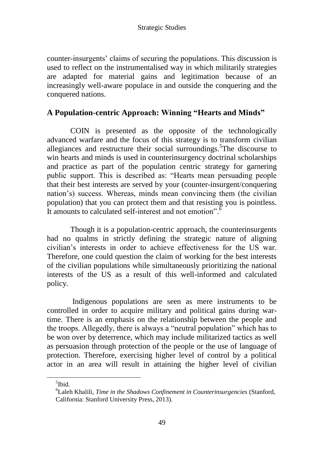counter-insurgents" claims of securing the populations. This discussion is used to reflect on the instrumentalised way in which militarily strategies are adapted for material gains and legitimation because of an increasingly well-aware populace in and outside the conquering and the conquered nations.

# **A Population-centric Approach: Winning "Hearts and Minds"**

COIN is presented as the opposite of the technologically advanced warfare and the focus of this strategy is to transform civilian allegiances and restructure their social surroundings.<sup>5</sup>The discourse to win hearts and minds is used in counterinsurgency doctrinal scholarships and practice as part of the population centric strategy for garnering public support. This is described as: "Hearts mean persuading people that their best interests are served by your (counter-insurgent/conquering nation"s) success. Whereas, minds mean convincing them (the civilian population) that you can protect them and that resisting you is pointless. It amounts to calculated self-interest and not emotion".

Though it is a population-centric approach, the counterinsurgents had no qualms in strictly defining the strategic nature of aligning civilian"s interests in order to achieve effectiveness for the US war. Therefore, one could question the claim of working for the best interests of the civilian populations while simultaneously prioritizing the national interests of the US as a result of this well-informed and calculated policy.

Indigenous populations are seen as mere instruments to be controlled in order to acquire military and political gains during wartime. There is an emphasis on the relationship between the people and the troops. Allegedly, there is always a "neutral population" which has to be won over by deterrence, which may include militarized tactics as well as persuasion through protection of the people or the use of language of protection. Therefore, exercising higher level of control by a political actor in an area will result in attaining the higher level of civilian

<sup>5</sup> Ibid.

<sup>6</sup>Laleh Khalili, *Time in the Shadows Confinement in Counterinsurgencies* (Stanford, California: Stanford University Press, 2013).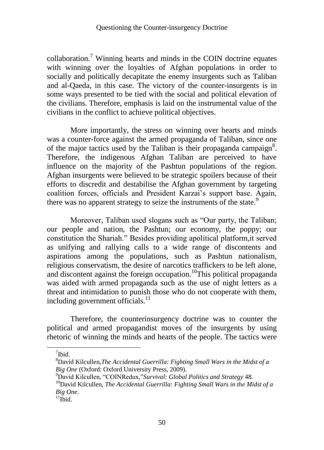collaboration.<sup>7</sup> Winning hearts and minds in the COIN doctrine equates with winning over the loyalties of Afghan populations in order to socially and politically decapitate the enemy insurgents such as Taliban and al-Qaeda, in this case. The victory of the counter-insurgents is in some ways presented to be tied with the social and political elevation of the civilians. Therefore, emphasis is laid on the instrumental value of the civilians in the conflict to achieve political objectives.

More importantly, the stress on winning over hearts and minds was a counter-force against the armed propaganda of Taliban, since one of the major tactics used by the Taliban is their propaganda campaign<sup>8</sup>. Therefore, the indigenous Afghan Taliban are perceived to have influence on the majority of the Pashtun populations of the region. Afghan insurgents were believed to be strategic spoilers because of their efforts to discredit and destabilise the Afghan government by targeting coalition forces, officials and President Karzai"s support base. Again, there was no apparent strategy to seize the instruments of the state.<sup>9</sup>

Moreover, Taliban used slogans such as "Our party, the Taliban; our people and nation, the Pashtun; our economy, the poppy; our constitution the Shariah." Besides providing apolitical platform,it served as unifying and rallying calls to a wide range of discontents and aspirations among the populations, such as Pashtun nationalism, religious conservatism, the desire of narcotics traffickers to be left alone, and discontent against the foreign occupation.<sup>10</sup>This political propaganda was aided with armed propaganda such as the use of night letters as a threat and intimidation to punish those who do not cooperate with them, including government officials. $^{11}$ 

Therefore, the counterinsurgency doctrine was to counter the political and armed propagandist moves of the insurgents by using rhetoric of winning the minds and hearts of the people. The tactics were

<sup>&</sup>lt;sup>7</sup>Ibid.

<sup>8</sup>David Kilcullen,*The Accidental Guerrilla: Fighting Small Wars in the Midst of a Big One* (Oxford: Oxford University Press, 2009).

<sup>9</sup>David Kilcullen, "COINRedux,"*Survival: Global Politics and Strategy* 48.

<sup>&</sup>lt;sup>10</sup>David Kilcullen, *The Accidental Guerrilla: Fighting Small Wars in the Midst of a Big One*.

 $11$ Ibid.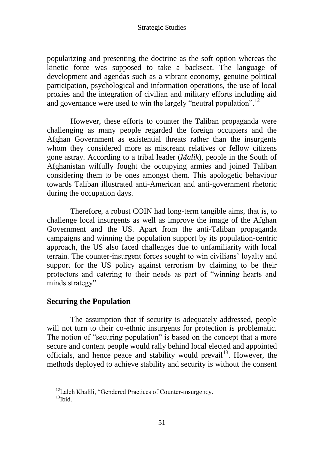popularizing and presenting the doctrine as the soft option whereas the kinetic force was supposed to take a backseat. The language of development and agendas such as a vibrant economy, genuine political participation, psychological and information operations, the use of local proxies and the integration of civilian and military efforts including aid and governance were used to win the largely "neutral population".<sup>12</sup>

However, these efforts to counter the Taliban propaganda were challenging as many people regarded the foreign occupiers and the Afghan Government as existential threats rather than the insurgents whom they considered more as miscreant relatives or fellow citizens gone astray. According to a tribal leader (*Malik*), people in the South of Afghanistan wilfully fought the occupying armies and joined Taliban considering them to be ones amongst them. This apologetic behaviour towards Taliban illustrated anti-American and anti-government rhetoric during the occupation days.

Therefore, a robust COIN had long-term tangible aims, that is, to challenge local insurgents as well as improve the image of the Afghan Government and the US. Apart from the anti-Taliban propaganda campaigns and winning the population support by its population-centric approach, the US also faced challenges due to unfamiliarity with local terrain. The counter-insurgent forces sought to win civilians" loyalty and support for the US policy against terrorism by claiming to be their protectors and catering to their needs as part of "winning hearts and minds strategy".

# **Securing the Population**

 $\overline{a}$ 

The assumption that if security is adequately addressed, people will not turn to their co-ethnic insurgents for protection is problematic. The notion of "securing population" is based on the concept that a more secure and content people would rally behind local elected and appointed officials, and hence peace and stability would prevail<sup>13</sup>. However, the methods deployed to achieve stability and security is without the consent

<sup>&</sup>lt;sup>12</sup>Laleh Khalili, "Gendered Practices of Counter-insurgency.  $13$ Ibid.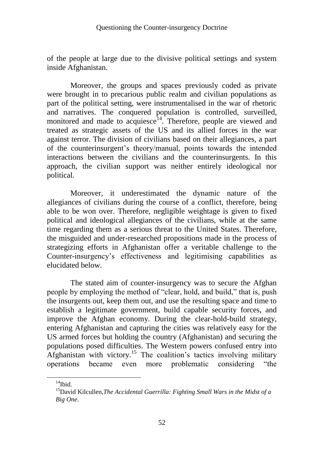of the people at large due to the divisive political settings and system inside Afghanistan.

Moreover, the groups and spaces previously coded as private were brought in to precarious public realm and civilian populations as part of the political setting, were instrumentalised in the war of rhetoric and narratives. The conquered population is controlled, surveilled, monitored and made to acquiesce $14$ . Therefore, people are viewed and treated as strategic assets of the US and its allied forces in the war against terror. The division of civilians based on their allegiances, a part of the counterinsurgent"s theory/manual, points towards the intended interactions between the civilians and the counterinsurgents. In this approach, the civilian support was neither entirely ideological nor political.

Moreover, it underestimated the dynamic nature of the allegiances of civilians during the course of a conflict, therefore, being able to be won over. Therefore, negligible weightage is given to fixed political and ideological allegiances of the civilians, while at the same time regarding them as a serious threat to the United States. Therefore, the misguided and under-researched propositions made in the process of strategizing efforts in Afghanistan offer a veritable challenge to the Counter-insurgency"s effectiveness and legitimising capabilities as elucidated below.

The stated aim of counter-insurgency was to secure the Afghan people by employing the method of "clear, hold, and build," that is, push the insurgents out, keep them out, and use the resulting space and time to establish a legitimate government, build capable security forces, and improve the Afghan economy. During the clear-hold-build strategy, entering Afghanistan and capturing the cities was relatively easy for the US armed forces but holding the country (Afghanistan) and securing the populations posed difficulties. The Western powers confused entry into Afghanistan with victory.<sup>15</sup> The coalition's tactics involving military operations became even more problematic considering "the

 $14$ Ibid.

<sup>15</sup>David Kilcullen,*The Accidental Guerrilla: Fighting Small Wars in the Midst of a Big One*.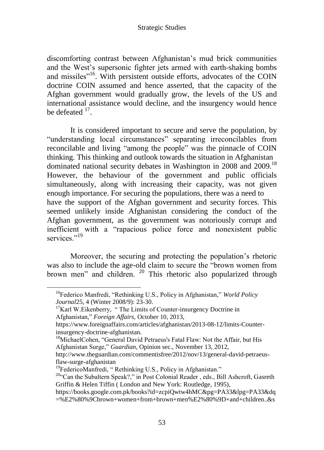discomforting contrast between Afghanistan"s mud brick communities and the West"s supersonic fighter jets armed with earth-shaking bombs and missiles"<sup>16</sup>. With persistent outside efforts, advocates of the COIN doctrine COIN assumed and hence asserted, that the capacity of the Afghan government would gradually grow, the levels of the US and international assistance would decline, and the insurgency would hence be defeated  $17$ .

It is considered important to secure and serve the population, by "understanding local circumstances" separating irreconcilables from reconcilable and living "among the people" was the pinnacle of COIN thinking. This thinking and outlook towards the situation in Afghanistan dominated national security debates in Washington in 2008 and 2009.<sup>18</sup> However, the behaviour of the government and public officials simultaneously, along with increasing their capacity, was not given enough importance. For securing the populations, there was a need to have the support of the Afghan government and security forces. This seemed unlikely inside Afghanistan considering the conduct of the Afghan government, as the government was notoriously corrupt and inefficient with a "rapacious police force and nonexistent public services."<sup>19</sup>

Moreover, the securing and protecting the population"s rhetoric was also to include the age-old claim to secure the "brown women from brown men" and children. <sup>20</sup> This rhetoric also popularized through

 $\overline{a}$ 

<sup>16</sup>Federico Manfredi, "Rethinking U.S., Policy in Afghanistan," *World Policy Journal*25, 4 (Winter 2008/9): 23-30.

 $17$ Karl W. Eikenberry, " The Limits of Counter-insurgency Doctrine in Afghanistan," *Foreign Affairs*, October 10, 2013,

https://www.foreignaffairs.com/articles/afghanistan/2013-08-12/limits-Counterinsurgency-doctrine-afghanistan.

<sup>&</sup>lt;sup>18</sup>MichaelCohen, "General David Petraeus's Fatal Flaw: Not the Affair, but His Afghanistan Surge," *Guardian*, Opinion sec., November 13, 2012,

http://www.theguardian.com/commentisfree/2012/nov/13/general-david-petraeusflaw-surge-afghanistan

<sup>&</sup>lt;sup>19</sup>FedericoManfredi, "Rethinking U.S., Policy in Afghanistan."

 $20$ <sup>20</sup> Can the Subaltern Speak?," in Post Colonial Reader, eds., Bill Ashcroft, Gasreth Griffin & Helen Tiffin ( London and New York: Routledge, 1995),

https://books.google.com.pk/books?id=zcpiQwtw4hMC&pg=PA33&lpg=PA33&dq =%E2%80%9Cbrown+women+from+brown+men%E2%80%9D+and+children..&s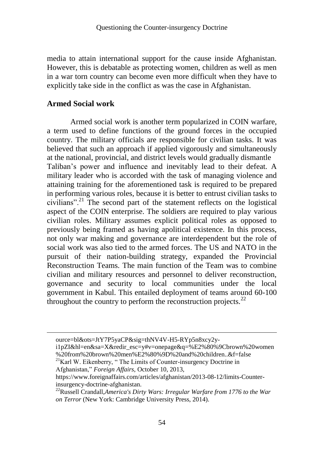media to attain international support for the cause inside Afghanistan. However, this is debatable as protecting women, children as well as men in a war torn country can become even more difficult when they have to explicitly take side in the conflict as was the case in Afghanistan.

## **Armed Social work**

Armed social work is another term popularized in COIN warfare, a term used to define functions of the ground forces in the occupied country. The military officials are responsible for civilian tasks. It was believed that such an approach if applied vigorously and simultaneously at the national, provincial, and district levels would gradually dismantle Taliban"s power and influence and inevitably lead to their defeat. A military leader who is accorded with the task of managing violence and attaining training for the aforementioned task is required to be prepared in performing various roles, because it is better to entrust civilian tasks to civilians".<sup>21</sup> The second part of the statement reflects on the logistical aspect of the COIN enterprise. The soldiers are required to play various civilian roles. Military assumes explicit political roles as opposed to previously being framed as having apolitical existence. In this process, not only war making and governance are interdependent but the role of social work was also tied to the armed forces. The US and NATO in the pursuit of their nation-building strategy, expanded the Provincial Reconstruction Teams. The main function of the Team was to combine civilian and military resources and personnel to deliver reconstruction, governance and security to local communities under the local government in Kabul. This entailed deployment of teams around 60-100 throughout the country to perform the reconstruction projects. $^{22}$ 

ource=bl&ots=JtY7P5yaCP&sig=thNV4V-H5-RYp5n8xcy2y-

i1pZI&hl=en&sa=X&redir\_esc=y#v=onepage&q=%E2%80%9Cbrown%20women %20from%20brown%20men%E2%80%9D%20and%20children..&f=false

<sup>&</sup>lt;sup>21</sup>Karl W. Eikenberry, "The Limits of Counter-insurgency Doctrine in Afghanistan," *Foreign Affairs*, October 10, 2013,

https://www.foreignaffairs.com/articles/afghanistan/2013-08-12/limits-Counterinsurgency-doctrine-afghanistan.

<sup>22</sup>Russell Crandall,*America's Dirty Wars: Irregular Warfare from 1776 to the War on Terror* (New York: Cambridge University Press, 2014).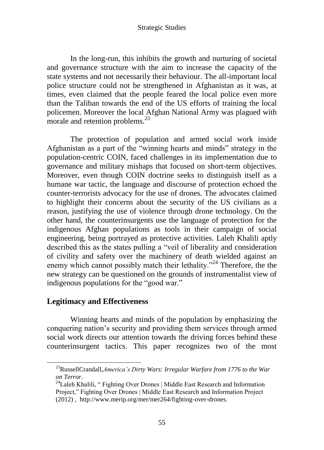In the long-run, this inhibits the growth and nurturing of societal and governance structure with the aim to increase the capacity of the state systems and not necessarily their behaviour. The all-important local police structure could not be strengthened in Afghanistan as it was, at times, even claimed that the people feared the local police even more than the Taliban towards the end of the US efforts of training the local policemen. Moreover the local Afghan National Army was plagued with morale and retention problems.<sup>23</sup>

The protection of population and armed social work inside Afghanistan as a part of the "winning hearts and minds" strategy in the population-centric COIN, faced challenges in its implementation due to governance and military mishaps that focused on short-term objectives. Moreover, even though COIN doctrine seeks to distinguish itself as a humane war tactic, the language and discourse of protection echoed the counter-terrorists advocacy for the use of drones. The advocates claimed to highlight their concerns about the security of the US civilians as a reason, justifying the use of violence through drone technology. On the other hand, the counterinsurgents use the language of protection for the indigenous Afghan populations as tools in their campaign of social engineering, being portrayed as protective activities. Laleh Khalili aptly described this as the states pulling a "veil of liberality and consideration of civility and safety over the machinery of death wielded against an enemy which cannot possibly match their lethality."<sup>24</sup> Therefore, the the new strategy can be questioned on the grounds of instrumentalist view of indigenous populations for the "good war."

### **Legitimacy and Effectiveness**

 $\overline{a}$ 

Winning hearts and minds of the population by emphasizing the conquering nation"s security and providing them services through armed social work directs our attention towards the driving forces behind these counterinsurgent tactics. This paper recognizes two of the most

<sup>23</sup>RussellCrandall,*America's Dirty Wars: Irregular Warfare from 1776 to the War on Terror*.

 $^{24}$ Laleh Khalili, "Fighting Over Drones | Middle East Research and Information Project," Fighting Over Drones | Middle East Research and Information Project (2012) , http://www.merip.org/mer/mer264/fighting-over-drones.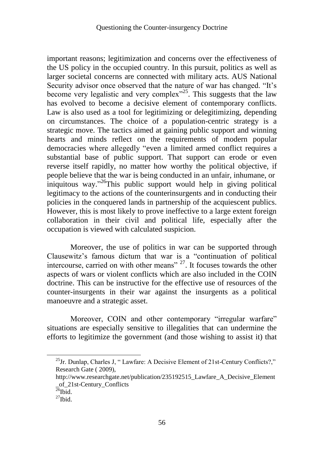important reasons; legitimization and concerns over the effectiveness of the US policy in the occupied country. In this pursuit, politics as well as larger societal concerns are connected with military acts. AUS National Security advisor once observed that the nature of war has changed. "It's become very legalistic and very complex $^{25}$ . This suggests that the law has evolved to become a decisive element of contemporary conflicts. Law is also used as a tool for legitimizing or delegitimizing, depending on circumstances. The choice of a population-centric strategy is a strategic move. The tactics aimed at gaining public support and winning hearts and minds reflect on the requirements of modern popular democracies where allegedly "even a limited armed conflict requires a substantial base of public support. That support can erode or even reverse itself rapidly, no matter how worthy the political objective, if people believe that the war is being conducted in an unfair, inhumane, or iniquitous way." <sup>26</sup>This public support would help in giving political legitimacy to the actions of the counterinsurgents and in conducting their policies in the conquered lands in partnership of the acquiescent publics. However, this is most likely to prove ineffective to a large extent foreign collaboration in their civil and political life, especially after the occupation is viewed with calculated suspicion.

Moreover, the use of politics in war can be supported through Clausewitz's famous dictum that war is a "continuation of political intercourse, carried on with other means"  $27$ . It focuses towards the other aspects of wars or violent conflicts which are also included in the COIN doctrine. This can be instructive for the effective use of resources of the counter-insurgents in their war against the insurgents as a political manoeuvre and a strategic asset.

Moreover, COIN and other contemporary "irregular warfare" situations are especially sensitive to illegalities that can undermine the efforts to legitimize the government (and those wishing to assist it) that

 $^{25}$ Jr. Dunlap, Charles J, "Lawfare: A Decisive Element of 21st-Century Conflicts?," Research Gate ( 2009),

http://www.researchgate.net/publication/235192515\_Lawfare\_A\_Decisive\_Element \_of\_21st-Century\_Conflicts

 $^{26}$ Ibid.

 $^{27}$ Ibid.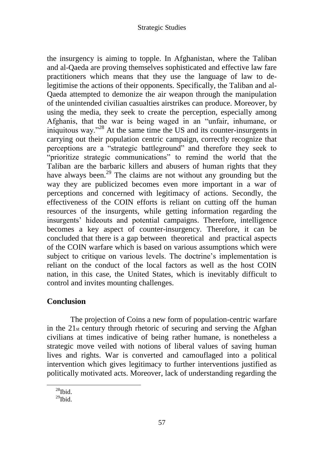the insurgency is aiming to topple. In Afghanistan, where the Taliban and al-Qaeda are proving themselves sophisticated and effective law fare practitioners which means that they use the language of law to delegitimise the actions of their opponents. Specifically, the Taliban and al-Qaeda attempted to demonize the air weapon through the manipulation of the unintended civilian casualties airstrikes can produce. Moreover, by using the media, they seek to create the perception, especially among Afghanis, that the war is being waged in an "unfair, inhumane, or iniquitous way. $^{228}$  At the same time the US and its counter-insurgents in carrying out their population centric campaign, correctly recognize that perceptions are a "strategic battleground" and therefore they seek to "prioritize strategic communications" to remind the world that the Taliban are the barbaric killers and abusers of human rights that they have always been.<sup>29</sup> The claims are not without any grounding but the way they are publicized becomes even more important in a war of perceptions and concerned with legitimacy of actions. Secondly, the effectiveness of the COIN efforts is reliant on cutting off the human resources of the insurgents, while getting information regarding the insurgents" hideouts and potential campaigns. Therefore, intelligence becomes a key aspect of counter-insurgency. Therefore, it can be concluded that there is a gap between theoretical and practical aspects of the COIN warfare which is based on various assumptions which were subject to critique on various levels. The doctrine's implementation is reliant on the conduct of the local factors as well as the host COIN nation, in this case, the United States, which is inevitably difficult to control and invites mounting challenges.

# **Conclusion**

The projection of Coins a new form of population-centric warfare in the 21st century through rhetoric of securing and serving the Afghan civilians at times indicative of being rather humane, is nonetheless a strategic move veiled with notions of liberal values of saving human lives and rights. War is converted and camouflaged into a political intervention which gives legitimacy to further interventions justified as politically motivated acts. Moreover, lack of understanding regarding the

 $\overline{a}$ 

 $^{28}$ Ibid.

 $^{29}$ Ibid.